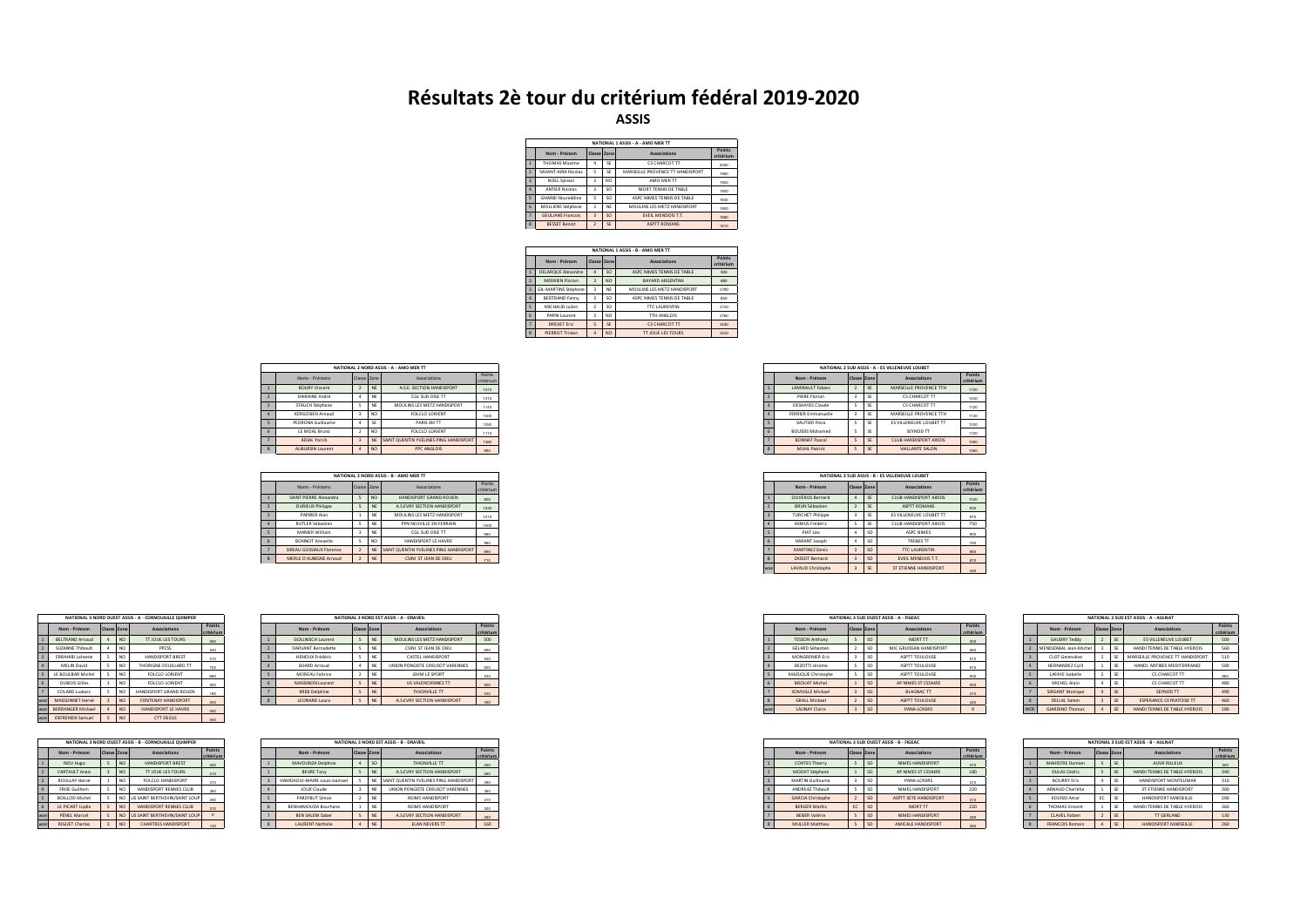## **Résultats 2è tour du critérium fédéral 2019-2020 ASSIS**

|                | NATIONAL 1 ASSIS - A - AMO MER TT |                |     |                                  |                            |  |  |  |  |  |  |  |  |  |
|----------------|-----------------------------------|----------------|-----|----------------------------------|----------------------------|--|--|--|--|--|--|--|--|--|
|                | Nom - Prénom                      | Classe Zone    |     | Associations                     | <b>Points</b><br>critériun |  |  |  |  |  |  |  |  |  |
|                | <b>THOMAS Maxime</b>              | ۵              | œ   | CS CHARCOT TT                    | 2000                       |  |  |  |  |  |  |  |  |  |
| ž              | SAVANT-AIRA Nicolas               | s              | SE  | MARSEILLE PROVENCE TT HANDISPORT | 1960                       |  |  |  |  |  |  |  |  |  |
| $\overline{a}$ | <b>NOEL Sylvain</b>               | $\overline{a}$ | NO  | AMO MER TT                       | 1920                       |  |  |  |  |  |  |  |  |  |
|                | <b>ANTIFR Nicolas</b>             | $\overline{a}$ | sn  | NIORT TENNIS DE TARLE            | 1900                       |  |  |  |  |  |  |  |  |  |
| ¢              | <b>GHARBI Noureddine</b>          | s              | SO. | ASPC NIMES TENNIS DE TABLE       | 1830                       |  |  |  |  |  |  |  |  |  |
| ß,             | MOLLIENS Stéphane                 | $\mathcal{I}$  | NF  | MOUUNS LES METZ HANDISPORT       | 1900                       |  |  |  |  |  |  |  |  |  |
|                | <b>GEULIANS Francois</b>          | $\overline{a}$ | so  | <b>EVEIL MENDOIS T.T.</b>        | 1880                       |  |  |  |  |  |  |  |  |  |
| $\mathbf{z}$   | <b>BESSET Benoit</b>              | $\mathcal{P}$  | SE  | <b>ASPTT ROMANS</b>              | 1810                       |  |  |  |  |  |  |  |  |  |

| NATIONAL 1 ASSIS - B - AMO MER TT<br>Points |                           |                |                             |                            |      |  |  |  |  |  |  |  |  |
|---------------------------------------------|---------------------------|----------------|-----------------------------|----------------------------|------|--|--|--|--|--|--|--|--|
|                                             | Nom - Prénom              |                | Associations<br>Classe Zone |                            |      |  |  |  |  |  |  |  |  |
| 1                                           | <b>DELARQUE Alexandre</b> |                | SO.                         | ASPC NIMES TENNIS DE TABLE | 900  |  |  |  |  |  |  |  |  |
| $\mathcal{L}$                               | <b>MERRIEN Florian</b>    | $\overline{a}$ | NO <sub></sub>              | <b>BAYARD ARGENTAN</b>     | 880  |  |  |  |  |  |  |  |  |
| $\overline{z}$                              | GIL-MARTINS Stéphane      | ۵              | <b>NF</b>                   | MOUUNS LES METZ HANDISPORT | 1790 |  |  |  |  |  |  |  |  |
| $\Delta$                                    | <b>BERTRAND Fanny</b>     | ۵              | SO.                         | ASPC NIMES TENNIS DE TABLE | 850  |  |  |  |  |  |  |  |  |
| $\leq$                                      | MICHALID Islien           | <sup>2</sup>   | SO.                         | <b>TTC LAURENTIN</b>       | 1710 |  |  |  |  |  |  |  |  |
| ĥ.                                          | <b>PAPIN Laurent</b>      | ä              | NO                          | TTH ANGLOIS                | 1760 |  |  |  |  |  |  |  |  |
| $\overline{z}$                              | DREVET Frie               | s              | SE                          | CS CHARCOT TT              | 1430 |  |  |  |  |  |  |  |  |
| $\mathbf{\hat{x}}$                          | <b>PIERROT Tristan</b>    | ۵              | NO <sub></sub>              | <b>TT IQUE LES TOURS</b>   | 1410 |  |  |  |  |  |  |  |  |
|                                             |                           |                |                             |                            |      |  |  |  |  |  |  |  |  |

| NATIONAL 2 NORD ASSIS - A - AMO MER TT |             |                 |                                        |                     |  |  |  |
|----------------------------------------|-------------|-----------------|----------------------------------------|---------------------|--|--|--|
| Noms - Prénoms                         | Classe Zone |                 | Associations                           | Points<br>critérium |  |  |  |
| <b>BOURY Vincent</b>                   |             |                 | A.S.E. SECTION HANDISPORT              | 1410                |  |  |  |
| DAIRAINE André                         |             |                 | CGL SUD OISE TT                        | 1410                |  |  |  |
| STAUCH Stéphane                        |             |                 | MOULINS LES METZ HANDISPORT            | 1140                |  |  |  |
| KERGOSIEN Arnaud                       |             | NO <sub>1</sub> | FOLCLO LORIENT                         | 1400                |  |  |  |
| PEDRONA Guillaume                      |             |                 | PARIS XIII TT                          | 1050                |  |  |  |
| LE MOAL Bruno                          |             | NO              | FOLCLO LORIENT                         | 1110                |  |  |  |
| <b>ADJAL Yorick</b>                    |             |                 | SAINT QUENTIN YVELINES PING HANDISPORT | 1380                |  |  |  |
| <b>AUBURSIN Laurent</b>                |             | NO <sub></sub>  | PPC ANGLOIS                            | 990                 |  |  |  |

|                                 |             |                 | NATIONAL 2 NORD ASSIS - B - AMO MER TT |                            |  |  |  |  |  |  |
|---------------------------------|-------------|-----------------|----------------------------------------|----------------------------|--|--|--|--|--|--|
| Noms - Prénoms                  | Classe Zone |                 | Associations                           | <b>Points</b><br>critérium |  |  |  |  |  |  |
| SAINT PIERRE Alexandra          |             | NO <sub>1</sub> | HANDISPORT GRAND ROUEN                 | 800                        |  |  |  |  |  |  |
| <b>DURIEUX Philippe</b>         |             |                 | A.S.EVRY SECTION HANDISPORT            | 1030                       |  |  |  |  |  |  |
| PAPIRER Alan                    |             |                 | MOULINS LES METZ HANDISPORT            | 1010                       |  |  |  |  |  |  |
| RUTLER Sébastien                |             |                 | PPN NEUVILLE EN FERRAIN                | 1000                       |  |  |  |  |  |  |
| A 4 4 5 6 6 6 5 6 6 6 7 8 7 8 7 |             |                 | CONTRACTOR CARD THE                    |                            |  |  |  |  |  |  |

|                |                          |                |                 | NATIONAL 3 NORD OUEST ASSIS - A - CORNOUAILLE QUIMPER |                     |
|----------------|--------------------------|----------------|-----------------|-------------------------------------------------------|---------------------|
|                | Nom - Prénom             | Classe Zone    |                 | Associations                                          | Points<br>critérium |
|                | <b>BELTRAND Arnaud</b>   | 4              | NO              | <b>TT JOUE LES TOURS</b>                              | 580                 |
| $\overline{2}$ | <b>SUZANNE Thibault</b>  | 4              | NO              | PPC SS                                                | 540                 |
| $\overline{a}$ | <b>FRRAHIRLLahsene</b>   | s              | NO <sub>1</sub> | <b>HANDISPORT BREST</b>                               | 510                 |
| $\Delta$       | <b>MELIN David</b>       | ¢,             | NO              | THORIGNE-FOULLARD TT                                  | 700                 |
| K              | <b>IF ROULBAR Michel</b> | ¢,             | NO              | <b>EQLCLO LORIENT</b>                                 | 680                 |
| ĥ.             | <b>DUROIS Gilles</b>     | ä              | NO              | <b>EQLCLO LORIENT</b>                                 | 500                 |
| 7              | COLARD Ludovic           | s              | NO              | HANDISPORT GRAND ROUEN                                | 180                 |
| woe            | MASSONNET Hervé          | $\overline{a}$ | NO <sub></sub>  | <b>FONTENAY HANDISPORT</b>                            | 200                 |
| wne            | <b>RERRANGER Mickael</b> | 4              | NO <sub>1</sub> | HANDISPORT I F HAVRE                                  | 450                 |
| wpe            | <b>DEFRENEIX Samuel</b>  | $\epsilon$     | NO <sub></sub>  | CTT DEOLS                                             | 450                 |

| NATIONAL 3 NORD OUEST ASSIS - B - CORNOUAILLE QUIMPER |                       |                |                 |                               |                     |  |  |  |  |  |  |  |  |
|-------------------------------------------------------|-----------------------|----------------|-----------------|-------------------------------|---------------------|--|--|--|--|--|--|--|--|
|                                                       | Nom - Prénom          | Classe Zone    |                 | Associations                  | Points<br>critérium |  |  |  |  |  |  |  |  |
|                                                       | <b>NOU Hugo</b>       | S              | NO <sub></sub>  | HANDISPORT RREST              | 450                 |  |  |  |  |  |  |  |  |
| $\overline{2}$                                        | <b>CARTAULT Anaïs</b> | $\overline{3}$ | NO <sub></sub>  | <b>TT IOUE LES TOURS</b>      | 410                 |  |  |  |  |  |  |  |  |
| $\overline{a}$                                        | ROULLAY Hervé         | 1              | NO              | FOLCLO HANDISPORT             | 310                 |  |  |  |  |  |  |  |  |
| $\Delta$                                              | <b>FRISE Guilhem</b>  | Ś              | NO              | HANDISPORT RENNES CITIR       | 380                 |  |  |  |  |  |  |  |  |
| s                                                     | <b>ROILLOD Michel</b> | s              | NO <sub>1</sub> | US SAINT BERTHEVIN/SAINT LOUP | 250                 |  |  |  |  |  |  |  |  |
| ĥ.                                                    | LE PICART Livdie      | S              | NO <sub></sub>  | HANDISPORT RENNES CITIR       | 310                 |  |  |  |  |  |  |  |  |
| wpe                                                   | <b>PENEL Marcel</b>   | S              | NO <sub></sub>  | US SAINT BERTHEVIN/SAINT LOUP | $\Omega$            |  |  |  |  |  |  |  |  |
| woe                                                   | <b>RIGUET Charles</b> | $\overline{a}$ | NO <sub></sub>  | <b>CHARTRES HANDISPORT</b>    | 130                 |  |  |  |  |  |  |  |  |

| NATIONAL 3 NORD EST ASSIS - A - DRAVEIL<br>NATIONAL 3 NORD OUEST ASSIS - A - CORNOUAILLE OUIMPER |          |                          |        |  |  |                          |  |                                 |               |
|--------------------------------------------------------------------------------------------------|----------|--------------------------|--------|--|--|--------------------------|--|---------------------------------|---------------|
| Nom - Prénom                                                                                     | Classe Z | <b>Associations</b>      | Point: |  |  | Nom - Prénom             |  | <b>Associations</b>             | <b>Points</b> |
| BELTRAND Arnaud                                                                                  | I NO     | <b>TT JOUE LES TOURS</b> |        |  |  | <b>GOLLNISCH Laurent</b> |  | MOULINS LES METZ HANDISPORT     |               |
| SUZANNE Thibault                                                                                 |          | PPCSS                    |        |  |  | DARVANT Rernadette       |  | CSINI ST JEAN DE DIEU           |               |
| <b>ERRAHIBI Lahsene</b>                                                                          |          | HANDISPORT BREST         |        |  |  | HENOUX Frédéric          |  | CASTEL HANDISPORT               | con           |
| MELIN David                                                                                      |          | THORIGNE-FOUILLARD TT    |        |  |  | <b>BIJARD Arnaud</b>     |  | UNION PONGISTE CREUSOT VARENNES |               |
| LE BOULBAR Michel                                                                                |          | FOLCLO LORIENT           |        |  |  | <b>MOREAU Fabrice</b>    |  | JEHM LE SPORT                   | 530           |
| <b>DUBOIS Gilles</b>                                                                             |          | FOLCLO LORIENT           |        |  |  | MASSINON Laurent         |  | US VALENCIENNES TT              | 500           |
| COLARD Ludovic                                                                                   |          | HANDISPORT GRAND ROUEN   |        |  |  | <b>KREB Delphine</b>     |  | THIONVILLE TT                   | 430           |
| MASSONNET Hervé                                                                                  |          | FONTENAY HANDISPORT      |        |  |  | LEONARD Laura            |  | A.S.EVRY SECTION HANDISPORT     | 390           |
| <b>BERRANGER Mickael</b>                                                                         |          | HANDISPORT LE HAVRE      |        |  |  |                          |  |                                 |               |

| NATIONAL 3 NORD OUEST ASSIS - B - CORNOUAILLE OUIMPER |        |  |                            |                                                                       |  |                         |                              |                             |                                                                                                                      |  |
|-------------------------------------------------------|--------|--|----------------------------|-----------------------------------------------------------------------|--|-------------------------|------------------------------|-----------------------------|----------------------------------------------------------------------------------------------------------------------|--|
| Nom - Prénom                                          | Classe |  | <b>Associations</b>        |                                                                       |  | Nom - Prénom            |                              | Associations                | <b>Points</b>                                                                                                        |  |
| NOU Hugo                                              |        |  | HANDISPORT BREST           |                                                                       |  | MAVOUNZA Delphine       |                              | THIONVILLE TT               |                                                                                                                      |  |
| CARTAULT Anaïs                                        |        |  | <b>IT JOUE LES TOURS</b>   |                                                                       |  | <b>BEVRE Tony</b>       |                              | A.S.EVRY SECTION HANDISPORT |                                                                                                                      |  |
| ROULLAY Hervé                                         |        |  | FOLCLO HANDISPORT          |                                                                       |  |                         |                              |                             |                                                                                                                      |  |
| FRISE Guilhem                                         |        |  | HANDISPORT RENNES CLUB     |                                                                       |  | JOUX Claude             |                              |                             |                                                                                                                      |  |
| <b>BOILLOD Michel</b>                                 |        |  |                            |                                                                       |  | PARZYBUT Simon          |                              | <b>REIMS HANDISPORT</b>     | 210                                                                                                                  |  |
| LE PICART Liydie                                      |        |  | HANDISPORT RENNES CLUB     |                                                                       |  | BENHAMOUDA Bourhane     |                              | <b>REIMS HANDISPORT</b>     | nen.                                                                                                                 |  |
| PENEL Marcel                                          |        |  |                            |                                                                       |  | <b>BEN SALEM Saber</b>  |                              | A.S.EVRY SECTION HANDISPORT | <b>ONA</b>                                                                                                           |  |
| <b>RIGUET Charles</b>                                 |        |  | <b>CHARTRES HANDISPORT</b> |                                                                       |  | <b>LAURENT Nathalie</b> |                              | ELAN NEVERS TT              | 160                                                                                                                  |  |
|                                                       |        |  | I NO                       | Point<br>US SAINT BERTHEVIN/SAINT LOU<br>US SAINT BERTHEVIN/SAINT LOL |  |                         | HAMDAOUI-MAIRE Louis-Isamael |                             | NATIONAL 3 NORD EST ASSIS - B - DRAVEIL<br>SAINT QUENTIN YVELINES PING HANDISPORT<br>UNION PONGISTE CREUSOT VARENNES |  |

|  | NATIONAL 2 SUD ASSIS - A - ES VILLENEUVE LOUBET |             |           |                         |                     |  |  |  |  |
|--|-------------------------------------------------|-------------|-----------|-------------------------|---------------------|--|--|--|--|
|  | Nom - Prénom                                    | Classe Zone |           | <b>Associations</b>     | Points<br>critériun |  |  |  |  |
|  | LAMIRAULT Fabien                                |             | <b>SE</b> | MARSEILLE PROVENCE TTH  | 1100                |  |  |  |  |
|  | PAIRE Florian                                   |             | SE        | <b>CS CHARCOT TT</b>    | 1430                |  |  |  |  |
|  | <b>DESHAYES Claude</b>                          |             | SE        | CS CHARCOT TT           | 1120                |  |  |  |  |
|  | <b>FERRIER Emmanuelle</b>                       |             | SE        | MARSEILLE PROVENCE TTH  | 1130                |  |  |  |  |
|  | VAUTIER Flora                                   |             | SE        | ES VILLENEUVE LOUBET TT | 1030                |  |  |  |  |
|  | <b>BOUSSIS Mohamed</b>                          |             | SE        | SEYNOD TT               | 1100                |  |  |  |  |
|  | <b>BONNAT Pascal</b>                            |             | SE        | CLUB HANDISPORT AIXOIS  | 1080                |  |  |  |  |
|  | <b>MUHL Patrick</b>                             |             | SE        | VAILLANTE SALON         | 1060                |  |  |  |  |

|                          |             |                 | NATIONAL 2 NORD ASSIS - B - AMO MER TT    |                     |
|--------------------------|-------------|-----------------|-------------------------------------------|---------------------|
| Noms - Prénoms           | Classe Zone |                 | Associations                              | Points<br>critérium |
| SAINT PIERRE Alexandra   |             | NO              | HANDISPORT GRAND ROUEN                    | 800                 |
| <b>DURIEUX Philippe</b>  |             | NE              | A.S.EVRY SECTION HANDISPORT               | 1030                |
| PAPIRER Alan             |             | NE              | MOULINS LES METZ HANDISPORT               | 1010                |
| <b>RUTLER Sébastien</b>  |             | <b>NE</b>       | PPN NEUVILLE EN FERRAIN                   | 1000                |
| MANIER William           |             | NE              | CGL SUD OISE TT                           | 980                 |
| <b>BONNOT Annaelle</b>   |             | NO <sub>1</sub> | HANDISPORT LE HAVRE                       | 960                 |
| SIREAU GOSSIAUX Florence |             |                 | NE SAINT QUENTIN YVELINES PING HANDISPORT | 890                 |
| MERLE D'AUBIGNE Arnaud   |             | <b>NE</b>       | CSINI ST JEAN DE DIEU                     | 710                 |
|                          |             |                 |                                           |                     |

| Points<br><b>Associations</b><br>Classe Zone<br>critérium<br>NIORT TT<br>SC<br>500<br><sub>SO</sub><br>MJC GRUISSAN HANDISPORT<br>560<br><sub>SO</sub><br>ASPTT TOULOUSE<br>510<br><sub>SO</sub><br>ASPTT TOULOUSE<br>510<br><sub>SO</sub><br>ASPTT TOULOUSE<br>500<br><sub>SO</sub><br>AP NIMES ST CESAIRE<br>500<br><b>BLAGNAC TT</b><br><sub>SO</sub><br>410<br><sub>SO</sub><br>ASPTT TOULOUSE<br>440<br><sub>SO</sub><br>PANA-LOISIRS<br>$\circ$ |                                         |     |                         |   |  |  |  |  |
|-------------------------------------------------------------------------------------------------------------------------------------------------------------------------------------------------------------------------------------------------------------------------------------------------------------------------------------------------------------------------------------------------------------------------------------------------------|-----------------------------------------|-----|-------------------------|---|--|--|--|--|
|                                                                                                                                                                                                                                                                                                                                                                                                                                                       | NATIONAL 3 SUD OUEST ASSIS - A - FIGEAC |     |                         |   |  |  |  |  |
|                                                                                                                                                                                                                                                                                                                                                                                                                                                       |                                         |     | Nom - Prénom            |   |  |  |  |  |
|                                                                                                                                                                                                                                                                                                                                                                                                                                                       |                                         |     | <b>TESSON Anthony</b>   |   |  |  |  |  |
|                                                                                                                                                                                                                                                                                                                                                                                                                                                       |                                         |     | <b>GELARD Sébastien</b> |   |  |  |  |  |
|                                                                                                                                                                                                                                                                                                                                                                                                                                                       |                                         |     | MONGRENIER Eric         |   |  |  |  |  |
|                                                                                                                                                                                                                                                                                                                                                                                                                                                       |                                         |     | DEZOTTI Jérome          |   |  |  |  |  |
|                                                                                                                                                                                                                                                                                                                                                                                                                                                       |                                         |     | MAZUQUE Christophe      |   |  |  |  |  |
|                                                                                                                                                                                                                                                                                                                                                                                                                                                       |                                         |     | <b>BROUAT Michel</b>    |   |  |  |  |  |
|                                                                                                                                                                                                                                                                                                                                                                                                                                                       |                                         |     | SOMVILLE Mickael        |   |  |  |  |  |
|                                                                                                                                                                                                                                                                                                                                                                                                                                                       |                                         | ĸ   | <b>GRALL Mickael</b>    |   |  |  |  |  |
|                                                                                                                                                                                                                                                                                                                                                                                                                                                       |                                         | woe | <b>LAUNAY Claire</b>    | 3 |  |  |  |  |

|  |                          |                    |                 | NATIONAL 3 SUD OUEST ASSIS - B - FIGEAC |                     |  |
|--|--------------------------|--------------------|-----------------|-----------------------------------------|---------------------|--|
|  | Nom - Prénom             | <b>Classe Zone</b> |                 | <b>Associations</b>                     | Points<br>critérium |  |
|  | <b>CORTES Thierry</b>    |                    | SO.             | NIMES HANDISPORT                        | 410                 |  |
|  | MODAT Stéphane           |                    | SO.             | AP NIMES ST CESAIRE                     | 180                 |  |
|  | <b>MARTIN Guillaume</b>  |                    | SO <sub>1</sub> | PANA-LOISIRS                            | 310                 |  |
|  | ANDREAZ Thibault         |                    | SO.             | NIMES HANDISPORT                        | 220                 |  |
|  | <b>GARCIA Christophe</b> |                    | SO.             | ASPTT SETE HANDISPORT                   | 310                 |  |
|  | <b>BERGER Mathis</b>     | EC                 | SO.             | NIORT TT                                | 220                 |  |
|  | <b>BEBER Valérie</b>     |                    | SO.             | NIMES HANDISPORT                        | 280                 |  |
|  | <b>MULLER Matthieu</b>   |                    | SO.             | AMICALE HANDISPORT                      | 260                 |  |

|                    | NATIONAL 3 SUD FST ASSIS - A - AULNAT |                |           |                                  |                     |  |  |  |
|--------------------|---------------------------------------|----------------|-----------|----------------------------------|---------------------|--|--|--|
|                    | Nom - Prénom                          | Classe Zone    |           | <b>Associations</b>              | Points<br>critérium |  |  |  |
|                    | <b>GAUDRY Teddy</b>                   |                | SE        | <b>ES VILLENEUVE LOUBET</b>      | 500                 |  |  |  |
|                    | MENDIZARAL Jean-Michel                | ä              | œ         | HANDI TENNIS DE TARI E HYEROIS   | 560                 |  |  |  |
| $\overline{a}$     | CLOT Geneviève                        | <sup>2</sup>   | œ         | MARSEILLE PROVENCE TT HANDISPORT | 510                 |  |  |  |
| Δ                  | <b>HERNANDEZ Cvril</b>                | ١              | œ         | HANDI ANTIRES MEDITERRANEE       | 500                 |  |  |  |
| s                  | LAFAYE Isabelle                       | <sup>2</sup>   | SE        | CS CHARCOT TT                    | 660                 |  |  |  |
| ĥ                  | MICHEL Alain                          | 4              | SE        | CS CHARCOT TT                    | 480                 |  |  |  |
| $\overline{ }$     | SIRGANT Monique                       | ۵              | SE        | SEYNOD TT                        | 490                 |  |  |  |
| $\mathbf{\hat{x}}$ | DELLAL Salem                          | $\overline{a}$ | <b>SF</b> | <b>ESPERANCE CEYRATOISE TT</b>   | 460                 |  |  |  |
| <b>WOE</b>         | <b>GIARDINO Thomas</b>                | ۵              | <b>SF</b> | HANDI TENNIS DE TARI E HYEROIS   | 180                 |  |  |  |

|                    | NATIONAL 3 SUD EST ASSIS - R - ALLINAT |               |           |                              |                     |  |  |
|--------------------|----------------------------------------|---------------|-----------|------------------------------|---------------------|--|--|
|                    | Nom - Prénom                           | Classe Zone   |           | Associations                 | Points<br>critérium |  |  |
|                    | <b>MAHISTRE Damien</b>                 |               | SE        | AUVR RILLEUX                 | 300                 |  |  |
|                    | DULAS Cédric                           | ς             | <b>SF</b> | HANDLTENNIS DE TARLE HYEROIS | 340                 |  |  |
| $\overline{a}$     | <b>BOURRY Eric</b>                     | ۵             | SE        | HANDISPORT MONTFLIMAR        | 310                 |  |  |
|                    | ARNAUD Charlélie                       |               | SE        | ST ETIENNE HANDISPORT        | 300                 |  |  |
| ς                  | KOLIJSSI Amar                          | FC            | œ         | HANDISPORT MARSFILLE         | 200                 |  |  |
| ĥ                  | THOMAS Vincent                         |               | œ         | HANDLTENNIS DE TARLE HYEROIS | 360                 |  |  |
|                    | CLAVEL Fabien                          | $\mathcal{P}$ | SE        | <b>TT GERLAND</b>            | 130                 |  |  |
| $\mathbf{\hat{x}}$ | <b>FRANCOIS Romain</b>                 | ۵             | SE        | HANDISPORT MARSEILLE         | 260                 |  |  |